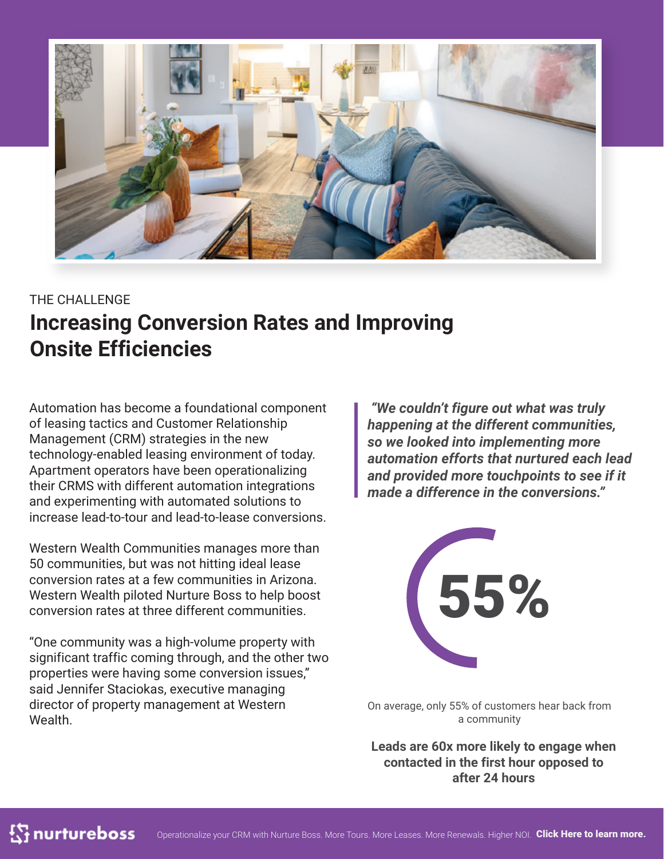

# THE CHALLENGE **Increasing Conversion Rates and Improving Onsite Efficiencies**

Automation has become a foundational component of leasing tactics and Customer Relationship Management (CRM) strategies in the new technology-enabled leasing environment of today. Apartment operators have been operationalizing their CRMS with different automation integrations and experimenting with automated solutions to increase lead-to-tour and lead-to-lease conversions.

Western Wealth Communities manages more than 50 communities, but was not hitting ideal lease conversion rates at a few communities in Arizona. Western Wealth piloted Nurture Boss to help boost conversion rates at three different communities.

"One community was a high-volume property with significant traffic coming through, and the other two properties were having some conversion issues," said Jennifer Staciokas, executive managing director of property management at Western Wealth.

 *"We couldn't figure out what was truly happening at the different communities, so we looked into implementing more automation efforts that nurtured each lead and provided more touchpoints to see if it made a difference in the conversions."*



On average, only 55% of customers hear back from a community

**Leads are 60x more likely to engage when contacted in the first hour opposed to after 24 hours**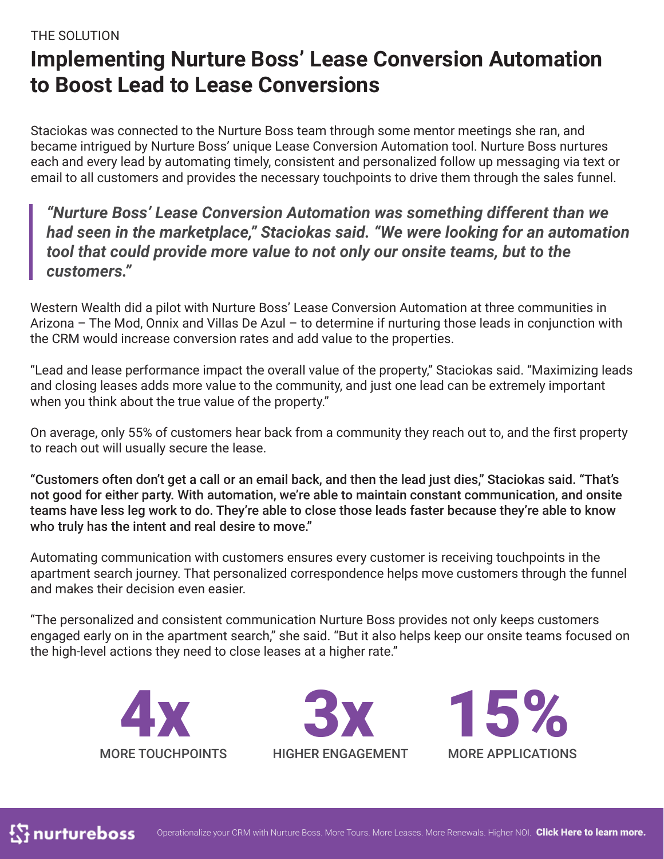#### THE SOLUTION

# **Implementing Nurture Boss' Lease Conversion Automation to Boost Lead to Lease Conversions**

Staciokas was connected to the Nurture Boss team through some mentor meetings she ran, and became intrigued by Nurture Boss' unique Lease Conversion Automation tool. Nurture Boss nurtures each and every lead by automating timely, consistent and personalized follow up messaging via text or email to all customers and provides the necessary touchpoints to drive them through the sales funnel.

#### *"Nurture Boss' Lease Conversion Automation was something different than we had seen in the marketplace," Staciokas said. "We were looking for an automation tool that could provide more value to not only our onsite teams, but to the customers."*

Western Wealth did a pilot with Nurture Boss' Lease Conversion Automation at three communities in Arizona – The Mod, Onnix and Villas De Azul – to determine if nurturing those leads in conjunction with the CRM would increase conversion rates and add value to the properties.

"Lead and lease performance impact the overall value of the property," Staciokas said. "Maximizing leads and closing leases adds more value to the community, and just one lead can be extremely important when you think about the true value of the property."

On average, only 55% of customers hear back from a community they reach out to, and the first property to reach out will usually secure the lease.

"Customers often don't get a call or an email back, and then the lead just dies," Staciokas said. "That's not good for either party. With automation, we're able to maintain constant communication, and onsite teams have less leg work to do. They're able to close those leads faster because they're able to know who truly has the intent and real desire to move."

Automating communication with customers ensures every customer is receiving touchpoints in the apartment search journey. That personalized correspondence helps move customers through the funnel and makes their decision even easier.

"The personalized and consistent communication Nurture Boss provides not only keeps customers engaged early on in the apartment search," she said. "But it also helps keep our onsite teams focused on the high-level actions they need to close leases at a higher rate."





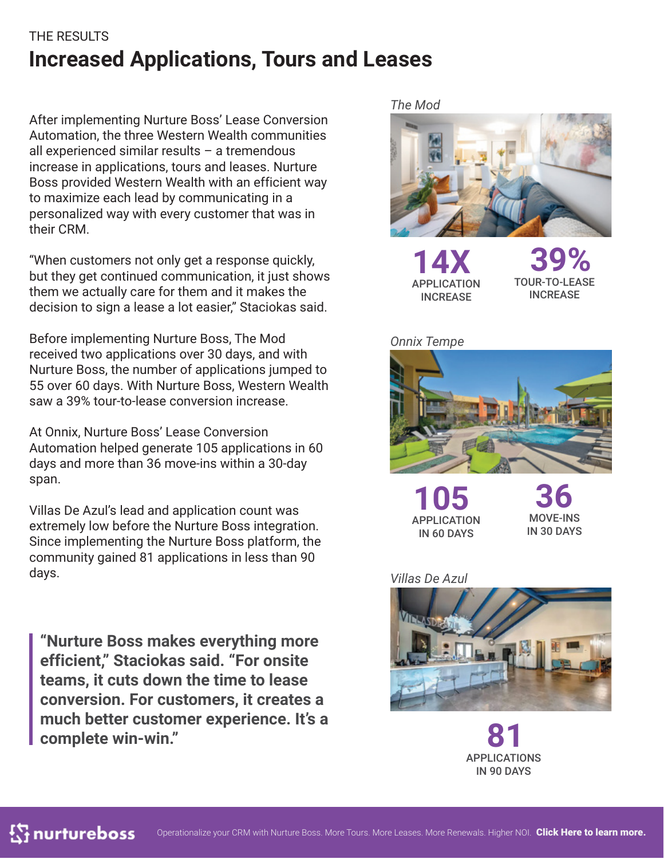### THE RESULTS **Increased Applications, Tours and Leases**

After implementing Nurture Boss' Lease Conversion Automation, the three Western Wealth communities all experienced similar results – a tremendous increase in applications, tours and leases. Nurture Boss provided Western Wealth with an efficient way to maximize each lead by communicating in a personalized way with every customer that was in their CRM.

"When customers not only get a response quickly, but they get continued communication, it just shows them we actually care for them and it makes the decision to sign a lease a lot easier," Staciokas said.

Before implementing Nurture Boss, The Mod received two applications over 30 days, and with Nurture Boss, the number of applications jumped to 55 over 60 days. With Nurture Boss, Western Wealth saw a 39% tour-to-lease conversion increase.

At Onnix, Nurture Boss' Lease Conversion Automation helped generate 105 applications in 60 days and more than 36 move-ins within a 30-day span.

Villas De Azul's lead and application count was extremely low before the Nurture Boss integration. Since implementing the Nurture Boss platform, the community gained 81 applications in less than 90 days.

**"Nurture Boss makes everything more efficient," Staciokas said. "For onsite teams, it cuts down the time to lease conversion. For customers, it creates a much better customer experience. It's a complete win-win."**

*The Mod*



**14X** APPLICATION **INCREASE** 

**39%** TOUR-TO-LEASE INCREASE

*Onnix Tempe*



**105** APPLICATION IN 60 DAYS

**36** MOVE-INS IN 30 DAYS

#### *Villas De Azul*



**81** APPLICATIONS IN 90 DAYS